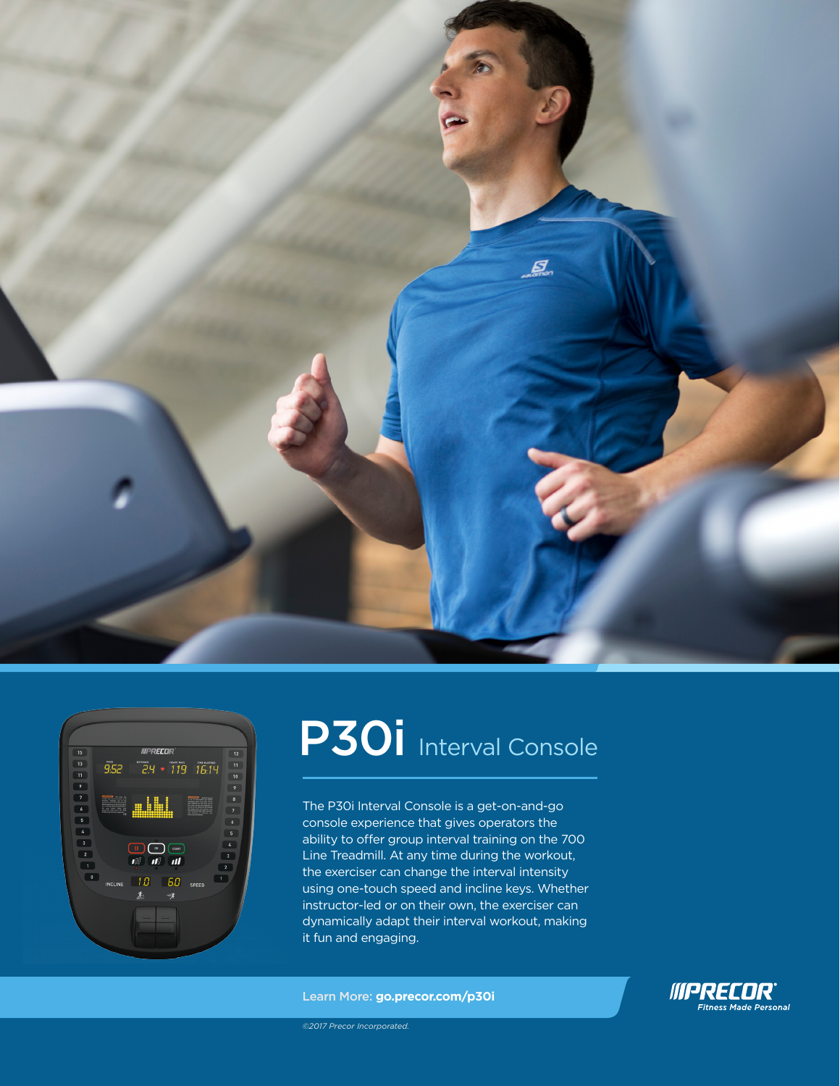



# P30i Interval Console

The P30i Interval Console is a get-on-and-go console experience that gives operators the ability to offer group interval training on the 700 Line Treadmill. At any time during the workout, the exerciser can change the interval intensity using one-touch speed and incline keys. Whether instructor-led or on their own, the exerciser can dynamically adapt their interval workout, making it fun and engaging.

Learn More: **go.precor.com/p30i**



*©2017 Precor Incorporated.*